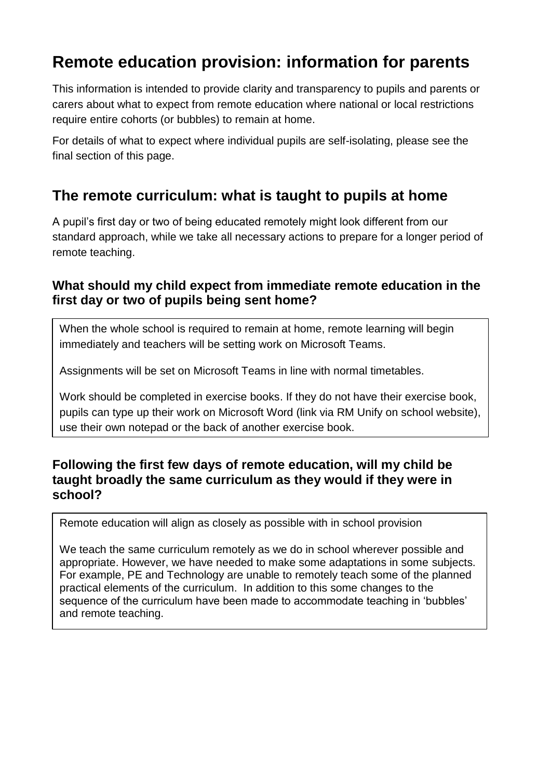# **Remote education provision: information for parents**

This information is intended to provide clarity and transparency to pupils and parents or carers about what to expect from remote education where national or local restrictions require entire cohorts (or bubbles) to remain at home.

For details of what to expect where individual pupils are self-isolating, please see the final section of this page.

## **The remote curriculum: what is taught to pupils at home**

A pupil's first day or two of being educated remotely might look different from our standard approach, while we take all necessary actions to prepare for a longer period of remote teaching.

### **What should my child expect from immediate remote education in the first day or two of pupils being sent home?**

When the whole school is required to remain at home, remote learning will begin immediately and teachers will be setting work on Microsoft Teams.

Assignments will be set on Microsoft Teams in line with normal timetables.

Work should be completed in exercise books. If they do not have their exercise book, pupils can type up their work on Microsoft Word (link via RM Unify on school website), use their own notepad or the back of another exercise book.

### **Following the first few days of remote education, will my child be taught broadly the same curriculum as they would if they were in school?**

Remote education will align as closely as possible with in school provision

We teach the same curriculum remotely as we do in school wherever possible and appropriate. However, we have needed to make some adaptations in some subjects. For example, PE and Technology are unable to remotely teach some of the planned practical elements of the curriculum. In addition to this some changes to the sequence of the curriculum have been made to accommodate teaching in 'bubbles' and remote teaching.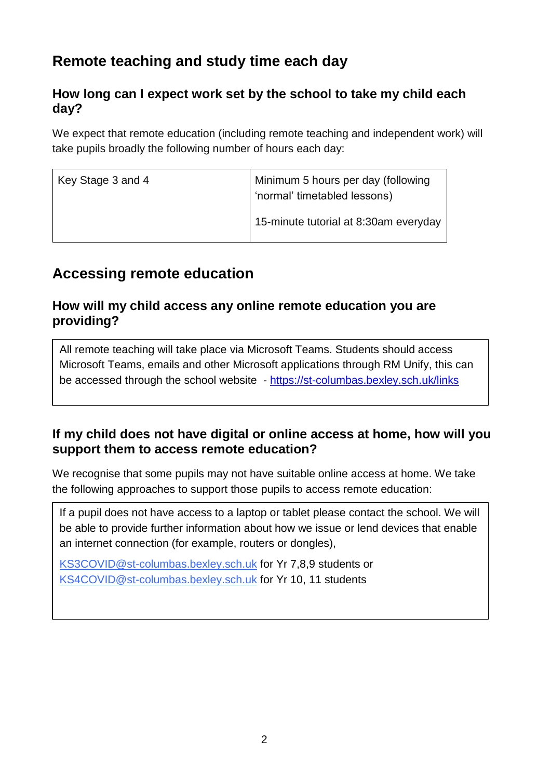## **Remote teaching and study time each day**

## **How long can I expect work set by the school to take my child each day?**

We expect that remote education (including remote teaching and independent work) will take pupils broadly the following number of hours each day:

| Key Stage 3 and 4 | Minimum 5 hours per day (following<br>' 'normal' timetabled lessons) |
|-------------------|----------------------------------------------------------------------|
|                   | 15-minute tutorial at 8:30am everyday                                |

## **Accessing remote education**

### **How will my child access any online remote education you are providing?**

All remote teaching will take place via Microsoft Teams. Students should access Microsoft Teams, emails and other Microsoft applications through RM Unify, this can be accessed through the school website - <https://st-columbas.bexley.sch.uk/links>

## **If my child does not have digital or online access at home, how will you support them to access remote education?**

We recognise that some pupils may not have suitable online access at home. We take the following approaches to support those pupils to access remote education:

If a pupil does not have access to a laptop or tablet please contact the school. We will be able to provide further information about how we issue or lend devices that enable an internet connection (for example, routers or dongles),

[KS3COVID@st-columbas.bexley.sch.uk](mailto:KS3COVID@st-columbas.bexley.sch.uk) for Yr 7,8,9 students or [KS4COVID@st-columbas.bexley.sch.uk](mailto:KS4COVID@st-columbas.bexley.sch.uk) for Yr 10, 11 students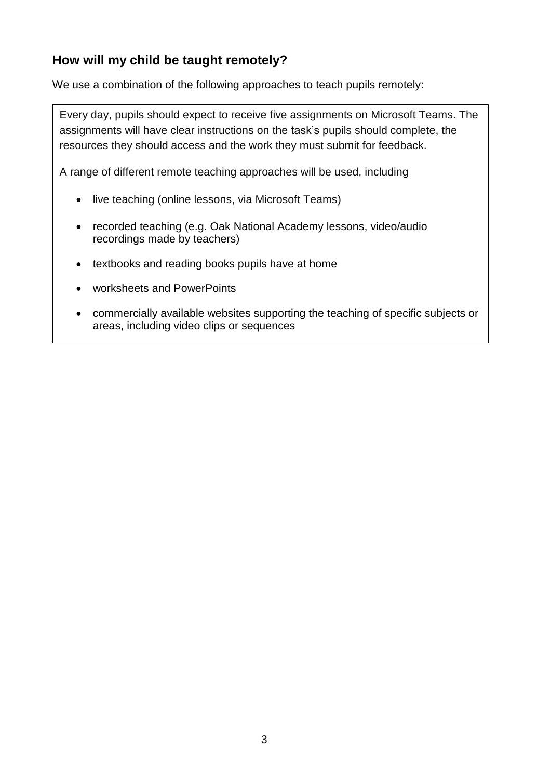## **How will my child be taught remotely?**

We use a combination of the following approaches to teach pupils remotely:

Every day, pupils should expect to receive five assignments on Microsoft Teams. The assignments will have clear instructions on the task's pupils should complete, the resources they should access and the work they must submit for feedback.

A range of different remote teaching approaches will be used, including

- live teaching (online lessons, via Microsoft Teams)
- recorded teaching (e.g. Oak National Academy lessons, video/audio recordings made by teachers)
- textbooks and reading books pupils have at home
- worksheets and PowerPoints
- commercially available websites supporting the teaching of specific subjects or areas, including video clips or sequences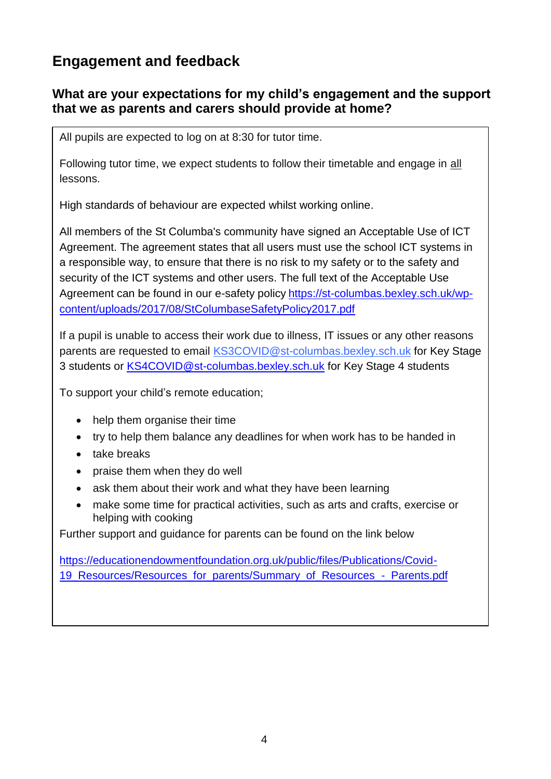## **Engagement and feedback**

### **What are your expectations for my child's engagement and the support that we as parents and carers should provide at home?**

All pupils are expected to log on at 8:30 for tutor time.

Following tutor time, we expect students to follow their timetable and engage in all lessons.

High standards of behaviour are expected whilst working online.

All members of the St Columba's community have signed an Acceptable Use of ICT Agreement. The agreement states that all users must use the school ICT systems in a responsible way, to ensure that there is no risk to my safety or to the safety and security of the ICT systems and other users. The full text of the Acceptable Use Agreement can be found in our e-safety policy [https://st-columbas.bexley.sch.uk/wp](https://st-columbas.bexley.sch.uk/wp-content/uploads/2017/08/StColumbaseSafetyPolicy2017.pdf)[content/uploads/2017/08/StColumbaseSafetyPolicy2017.pdf](https://st-columbas.bexley.sch.uk/wp-content/uploads/2017/08/StColumbaseSafetyPolicy2017.pdf)

If a pupil is unable to access their work due to illness, IT issues or any other reasons parents are requested to email [KS3COVID@st-columbas.bexley.sch.uk](mailto:KS3COVID@st-columbas.bexley.sch.uk) for Key Stage 3 students or [KS4COVID@st-columbas.bexley.sch.uk](mailto:KS4COVID@st-columbas.bexley.sch.uk) for Key Stage 4 students

To support your child's remote education;

- help them organise their time
- try to help them balance any deadlines for when work has to be handed in
- take breaks
- praise them when they do well
- ask them about their work and what they have been learning
- make some time for practical activities, such as arts and crafts, exercise or helping with cooking

Further support and guidance for parents can be found on the link below

[https://educationendowmentfoundation.org.uk/public/files/Publications/Covid-](https://educationendowmentfoundation.org.uk/public/files/Publications/Covid-19_Resources/Resources_for_parents/Summary_of_Resources_-_Parents.pdf)19 Resources/Resources for parents/Summary of Resources - Parents.pdf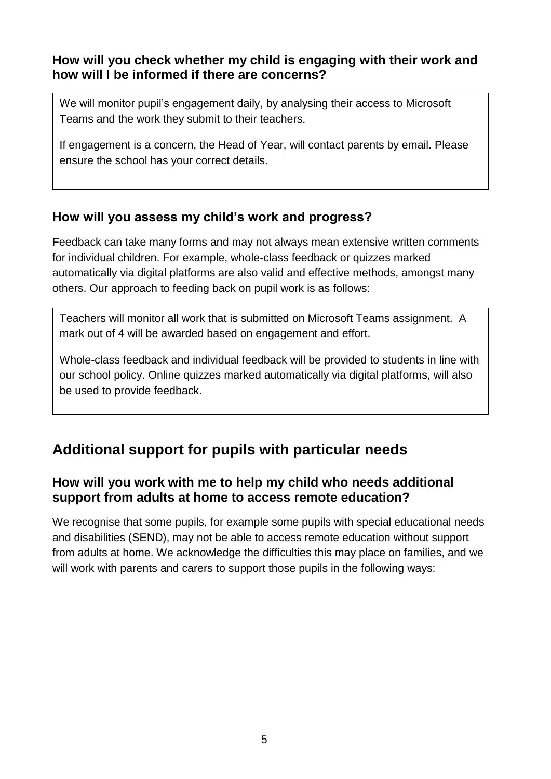### **How will you check whether my child is engaging with their work and how will I be informed if there are concerns?**

We will monitor pupil's engagement daily, by analysing their access to Microsoft Teams and the work they submit to their teachers.

If engagement is a concern, the Head of Year, will contact parents by email. Please ensure the school has your correct details.

## **How will you assess my child's work and progress?**

Feedback can take many forms and may not always mean extensive written comments for individual children. For example, whole-class feedback or quizzes marked automatically via digital platforms are also valid and effective methods, amongst many others. Our approach to feeding back on pupil work is as follows:

Teachers will monitor all work that is submitted on Microsoft Teams assignment. A mark out of 4 will be awarded based on engagement and effort.

Whole-class feedback and individual feedback will be provided to students in line with our school policy. Online quizzes marked automatically via digital platforms, will also be used to provide feedback.

## **Additional support for pupils with particular needs**

## **How will you work with me to help my child who needs additional support from adults at home to access remote education?**

We recognise that some pupils, for example some pupils with special educational needs and disabilities (SEND), may not be able to access remote education without support from adults at home. We acknowledge the difficulties this may place on families, and we will work with parents and carers to support those pupils in the following ways: